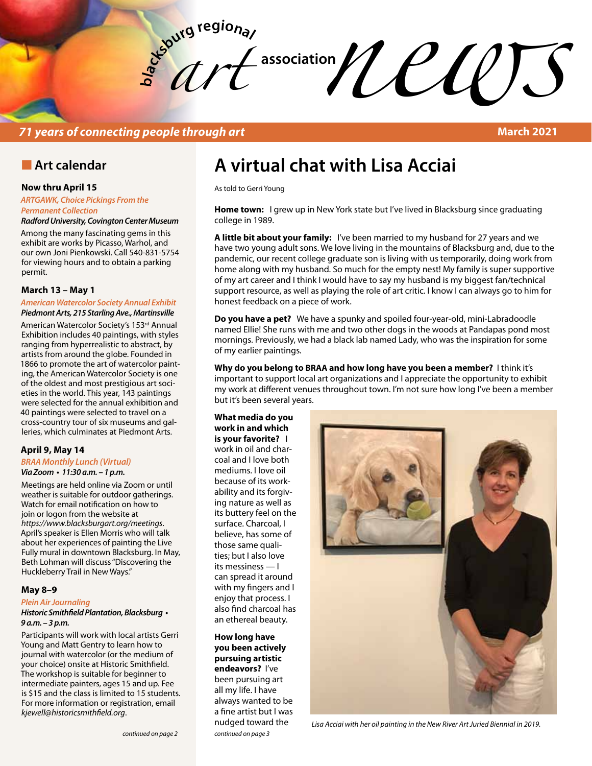**bla** *art*   $\mathcal{U}$   $\mathcal{U}$   $\mathcal{U}$   $\mathcal{U}$   $\mathcal{U}$   $\mathcal{U}$   $\mathcal{U}$   $\mathcal{U}$   $\mathcal{U}$   $\mathcal{U}$   $\mathcal{U}$   $\mathcal{U}$   $\mathcal{U}$   $\mathcal{U}$   $\mathcal{U}$   $\mathcal{U}$   $\mathcal{U}$   $\mathcal{U}$   $\mathcal{U}$   $\mathcal{U}$   $\mathcal{U}$   $\mathcal{U}$   $\mathcal{U}$   $\mathcal{U}$   $\mathcal{$ 

### *71 years of connecting people through art* **March 2021**

### **n** Art calendar

#### **Now thru April 15**

*ARTGAWK, Choice Pickings From the Permanent Collection*

*Radford University, Covington Center Museum*

Among the many fascinating gems in this exhibit are works by Picasso, Warhol, and our own Joni Pienkowski. Call 540-831-5754 for viewing hours and to obtain a parking permit.

#### **March 13 – May 1**

#### *American Watercolor Society Annual Exhibit Piedmont Arts, 215 Starling Ave., Martinsville*

American Watercolor Society's 153rd Annual Exhibition includes 40 paintings, with styles ranging from hyperrealistic to abstract, by artists from around the globe. Founded in 1866 to promote the art of watercolor painting, the American Watercolor Society is one of the oldest and most prestigious art societies in the world. This year, 143 paintings were selected for the annual exhibition and 40 paintings were selected to travel on a cross-country tour of six museums and galleries, which culminates at Piedmont Arts.

#### **April 9, May 14**

#### *BRAA Monthly Lunch (Virtual)* **Via Zoom • 11:30 a.m. – 1 p.m.**

Meetings are held online via Zoom or until weather is suitable for outdoor gatherings. Watch for email notification on how to join or logon from the website at *https://www.blacksburgart.org/meetings*. April's speaker is Ellen Morris who will talk about her experiences of painting the Live Fully mural in downtown Blacksburg. In May, Beth Lohman will discuss "Discovering the Huckleberry Trail in New Ways."

#### **May 8–9**

#### *Plein Air Journaling*

#### **Historic Smithfield Plantation, Blacksburg • 9 a.m. – 3 p.m.**

Participants will work with local artists Gerri Young and Matt Gentry to learn how to journal with watercolor (or the medium of your choice) onsite at Historic Smithfield. The workshop is suitable for beginner to intermediate painters, ages 15 and up. Fee is \$15 and the class is limited to 15 students. For more information or registration, email *kjewell@historicsmithfield.org*.

# **A virtual chat with Lisa Acciai**

As told to Gerri Young

**Home town:** I grew up in New York state but I've lived in Blacksburg since graduating college in 1989.

**A little bit about your family:** I've been married to my husband for 27 years and we have two young adult sons. We love living in the mountains of Blacksburg and, due to the pandemic, our recent college graduate son is living with us temporarily, doing work from home along with my husband. So much for the empty nest! My family is super supportive of my art career and I think I would have to say my husband is my biggest fan/technical support resource, as well as playing the role of art critic. I know I can always go to him for honest feedback on a piece of work.

**Do you have a pet?** We have a spunky and spoiled four-year-old, mini-Labradoodle named Ellie! She runs with me and two other dogs in the woods at Pandapas pond most mornings. Previously, we had a black lab named Lady, who was the inspiration for some of my earlier paintings.

**Why do you belong to BRAA and how long have you been a member?** I think it's important to support local art organizations and I appreciate the opportunity to exhibit my work at different venues throughout town. I'm not sure how long I've been a member but it's been several years.

**What media do you work in and which is your favorite?** I work in oil and charcoal and I love both mediums. I love oil because of its workability and its forgiving nature as well as its buttery feel on the surface. Charcoal, I believe, has some of those same qualities; but I also love its messiness — I can spread it around with my fingers and I enjoy that process. I also find charcoal has an ethereal beauty.

#### **How long have you been actively pursuing artistic endeavors?** I've been pursuing art all my life. I have always wanted to be a fine artist but I was nudged toward the

*continued on page 3*



*Lisa Acciai with her oil painting in the New River Art Juried Biennial in 2019.*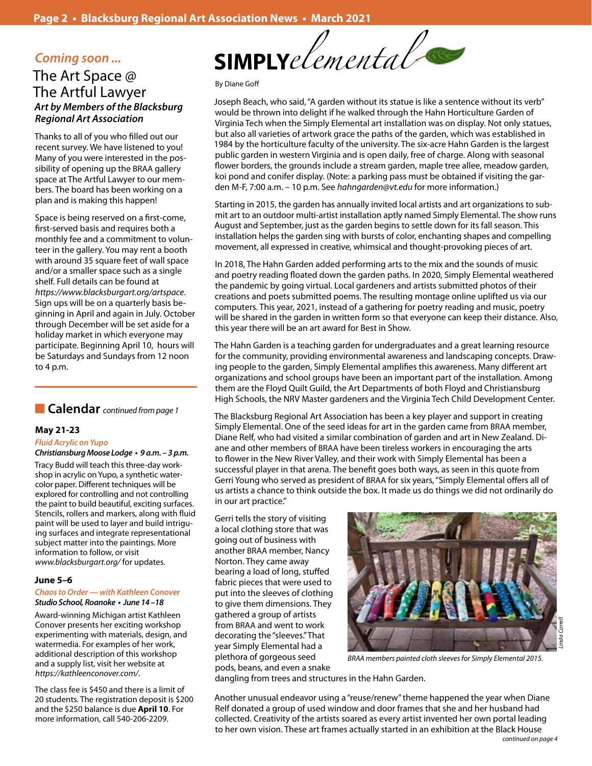### *Coming soon ...* The Art Space @ The Artful Lawyer *Art by Members of the Blacksburg Regional Art Association*

Thanks to all of you who filled out our recent survey. We have listened to you! Many of you were interested in the possibility of opening up the BRAA gallery space at The Artful Lawyer to our members. The board has been working on a plan and is making this happen!

Space is being reserved on a first-come, first-served basis and requires both a monthly fee and a commitment to volunteer in the gallery. You may rent a booth with around 35 square feet of wall space and/or a smaller space such as a single shelf. Full details can be found at *https://www.blacksburgart.org/artspace*. Sign ups will be on a quarterly basis beginning in April and again in July. October through December will be set aside for a holiday market in which everyone may participate. Beginning April 10, hours will be Saturdays and Sundays from 12 noon to 4 p.m.

### **n Calendar** *continued from page 1*

#### **May 21-23**

#### **Fluid Acrylic on Yupo Christiansburg Moose Lodge • 9 a.m. – 3 p.m.**

Tracy Budd will teach this three-day workshop in acrylic on Yupo, a synthetic watercolor paper. Different techniques will be explored for controlling and not controlling the paint to build beautiful, exciting surfaces. Stencils, rollers and markers, along with fluid paint will be used to layer and build intriguing surfaces and integrate representational subject matter into the paintings. More information to follow, or visit *www.blacksburgart.org/* for updates.

#### **June 5–6**

#### *Chaos to Order — with Kathleen Conover* **Studio School, Roanoke • June 14 –18**

Award-winning Michigan artist Kathleen Conover presents her exciting workshop experimenting with materials, design, and watermedia. For examples of her work, additional description of this workshop and a supply list, visit her website at *https://kathleenconover.com/*.

The class fee is \$450 and there is a limit of 20 students. The registration deposit is \$200 and the \$250 balance is due **April 10**. For more information, call 540-206-2209.



#### By Diane Goff

Joseph Beach, who said, "A garden without its statue is like a sentence without its verb" would be thrown into delight if he walked through the Hahn Horticulture Garden of Virginia Tech when the Simply Elemental art installation was on display. Not only statues, but also all varieties of artwork grace the paths of the garden, which was established in 1984 by the horticulture faculty of the university. The six-acre Hahn Garden is the largest public garden in western Virginia and is open daily, free of charge. Along with seasonal flower borders, the grounds include a stream garden, maple tree allee, meadow garden, koi pond and conifer display. (Note: a parking pass must be obtained if visiting the garden M-F, 7:00 a.m. – 10 p.m. See *hahngarden@vt.edu* for more information.)

Starting in 2015, the garden has annually invited local artists and art organizations to submit art to an outdoor multi-artist installation aptly named Simply Elemental. The show runs August and September, just as the garden begins to settle down for its fall season. This installation helps the garden sing with bursts of color, enchanting shapes and compelling movement, all expressed in creative, whimsical and thought-provoking pieces of art.

In 2018, The Hahn Garden added performing arts to the mix and the sounds of music and poetry reading floated down the garden paths. In 2020, Simply Elemental weathered the pandemic by going virtual. Local gardeners and artists submitted photos of their creations and poets submitted poems. The resulting montage online uplifted us via our computers. This year, 2021, instead of a gathering for poetry reading and music, poetry will be shared in the garden in written form so that everyone can keep their distance. Also, this year there will be an art award for Best in Show.

The Hahn Garden is a teaching garden for undergraduates and a great learning resource for the community, providing environmental awareness and landscaping concepts. Drawing people to the garden, Simply Elemental amplifies this awareness. Many different art organizations and school groups have been an important part of the installation. Among them are the Floyd Quilt Guild, the Art Departments of both Floyd and Christiansburg High Schools, the NRV Master gardeners and the Virginia Tech Child Development Center.

The Blacksburg Regional Art Association has been a key player and support in creating Simply Elemental. One of the seed ideas for art in the garden came from BRAA member, Diane Relf, who had visited a similar combination of garden and art in New Zealand. Diane and other members of BRAA have been tireless workers in encouraging the arts to flower in the New River Valley, and their work with Simply Elemental has been a successful player in that arena. The benefit goes both ways, as seen in this quote from Gerri Young who served as president of BRAA for six years, "Simply Elemental offers all of us artists a chance to think outside the box. It made us do things we did not ordinarily do in our art practice."

Gerri tells the story of visiting a local clothing store that was going out of business with another BRAA member, Nancy Norton. They came away bearing a load of long, stuffed fabric pieces that were used to put into the sleeves of clothing to give them dimensions. They gathered a group of artists from BRAA and went to work decorating the "sleeves." That year Simply Elemental had a plethora of gorgeous seed pods, beans, and even a snake



*BRAA members painted cloth sleeves for Simply Elemental 2015.*

dangling from trees and structures in the Hahn Garden.

Another unusual endeavor using a "reuse/renew" theme happened the year when Diane Relf donated a group of used window and door frames that she and her husband had collected. Creativity of the artists soared as every artist invented her own portal leading to her own vision. These art frames actually started in an exhibition at the Black House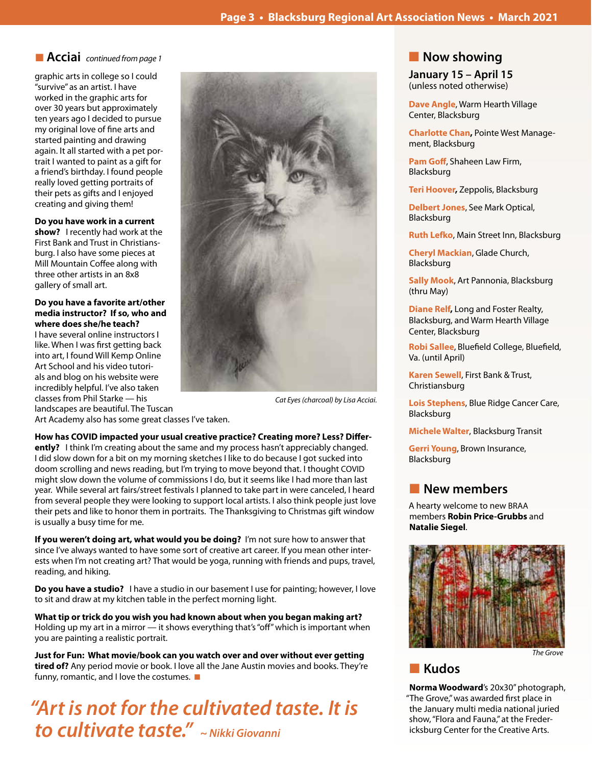### ■ **Acciai** *continued from page 1*

graphic arts in college so I could "survive" as an artist. I have worked in the graphic arts for over 30 years but approximately ten years ago I decided to pursue my original love of fine arts and started painting and drawing again. It all started with a pet portrait I wanted to paint as a gift for a friend's birthday. I found people really loved getting portraits of their pets as gifts and I enjoyed creating and giving them!

#### **Do you have work in a current**

**show?** I recently had work at the First Bank and Trust in Christiansburg. I also have some pieces at Mill Mountain Coffee along with three other artists in an 8x8 gallery of small art.

**Do you have a favorite art/other media instructor? If so, who and where does she/he teach?** 

I have several online instructors I like. When I was first getting back into art, I found Will Kemp Online Art School and his video tutorials and blog on his website were incredibly helpful. I've also taken classes from Phil Starke — his landscapes are beautiful. The Tuscan



*Cat Eyes (charcoal) by Lisa Acciai.*

Art Academy also has some great classes I've taken.

**How has COVID impacted your usual creative practice? Creating more? Less? Differently?** I think I'm creating about the same and my process hasn't appreciably changed. I did slow down for a bit on my morning sketches I like to do because I got sucked into doom scrolling and news reading, but I'm trying to move beyond that. I thought COVID might slow down the volume of commissions I do, but it seems like I had more than last year. While several art fairs/street festivals I planned to take part in were canceled, I heard from several people they were looking to support local artists. I also think people just love their pets and like to honor them in portraits. The Thanksgiving to Christmas gift window is usually a busy time for me.

**If you weren't doing art, what would you be doing?** I'm not sure how to answer that since I've always wanted to have some sort of creative art career. If you mean other interests when I'm not creating art? That would be yoga, running with friends and pups, travel, reading, and hiking.

**Do you have a studio?** I have a studio in our basement I use for painting; however, I love to sit and draw at my kitchen table in the perfect morning light.

**What tip or trick do you wish you had known about when you began making art?** Holding up my art in a mirror — it shows everything that's "off" which is important when you are painting a realistic portrait.

**Just for Fun: What movie/book can you watch over and over without ever getting tired of?** Any period movie or book. I love all the Jane Austin movies and books. They're funny, romantic, and I love the costumes.  $\blacksquare$ 

*"Art is not for the cultivated taste. It is to cultivate taste." ~ Nikki Giovanni*

## **Now showing**

**January 15 – April 15** (unless noted otherwise)

**Dave Angle**, Warm Hearth Village Center, Blacksburg

**Charlotte Chan,** Pointe West Management, Blacksburg

**Pam Goff**, Shaheen Law Firm, Blacksburg

**Teri Hoover,** Zeppolis, Blacksburg

**Delbert Jones**, See Mark Optical, Blacksburg

**Ruth Lefko**, Main Street Inn, Blacksburg

**Cheryl Mackian**, Glade Church, Blacksburg

**Sally Mook**, Art Pannonia, Blacksburg (thru May)

**Diane Relf,** Long and Foster Realty, Blacksburg, and Warm Hearth Village Center, Blacksburg

**Robi Sallee**, Bluefield College, Bluefield, Va. (until April)

**Karen Sewell**, First Bank & Trust, Christiansburg

**Lois Stephens**, Blue Ridge Cancer Care, Blacksburg

**Michele Walter**, Blacksburg Transit

**Gerri Young**, Brown Insurance, Blacksburg

### n **New members**

A hearty welcome to new BRAA members **Robin Price-Grubbs** and **Natalie Siegel**.



*The Grove*

n **Kudos**

**Norma Woodward**'s 20x30" photograph, "The Grove," was awarded first place in the January multi media national juried show, "Flora and Fauna," at the Fredericksburg Center for the Creative Arts.